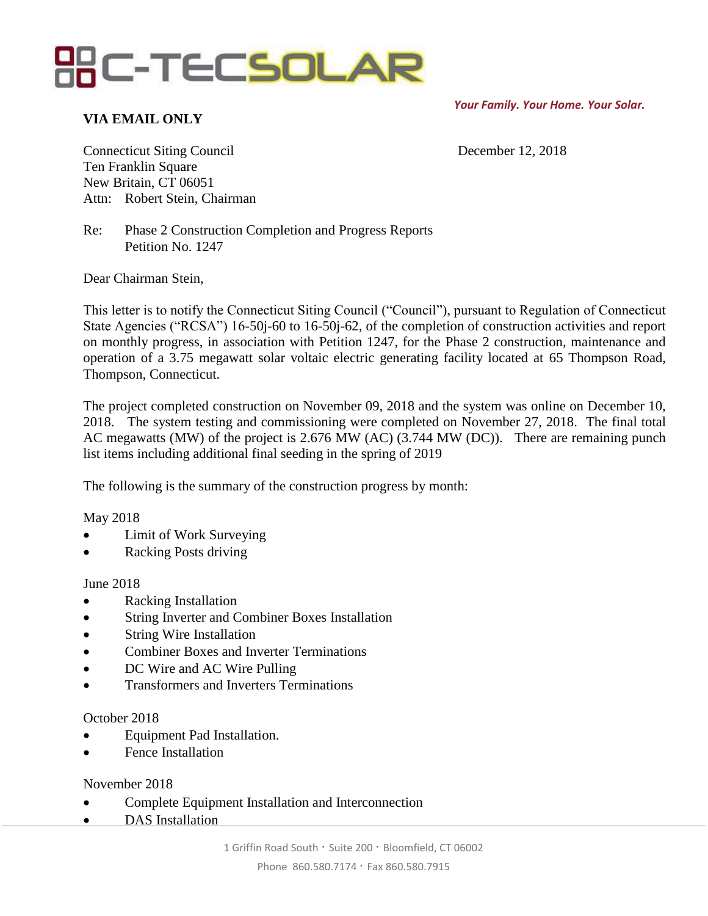

*Your Family. Your Home. Your Solar.*

## **VIA EMAIL ONLY**

Connecticut Siting Council December 12, 2018 Ten Franklin Square New Britain, CT 06051 Attn: Robert Stein, Chairman

Re: Phase 2 Construction Completion and Progress Reports Petition No. 1247

Dear Chairman Stein,

This letter is to notify the Connecticut Siting Council ("Council"), pursuant to Regulation of Connecticut State Agencies ("RCSA") 16-50j-60 to 16-50j-62, of the completion of construction activities and report on monthly progress, in association with Petition 1247, for the Phase 2 construction, maintenance and operation of a 3.75 megawatt solar voltaic electric generating facility located at 65 Thompson Road, Thompson, Connecticut.

The project completed construction on November 09, 2018 and the system was online on December 10, 2018. The system testing and commissioning were completed on November 27, 2018. The final total AC megawatts (MW) of the project is 2.676 MW (AC) (3.744 MW (DC)). There are remaining punch list items including additional final seeding in the spring of 2019

The following is the summary of the construction progress by month:

#### May 2018

- Limit of Work Surveying
- Racking Posts driving

#### June 2018

- Racking Installation
- String Inverter and Combiner Boxes Installation
- String Wire Installation
- Combiner Boxes and Inverter Terminations
- DC Wire and AC Wire Pulling
- Transformers and Inverters Terminations

#### October 2018

- Equipment Pad Installation.
- Fence Installation

### November 2018

- Complete Equipment Installation and Interconnection
- DAS Installation